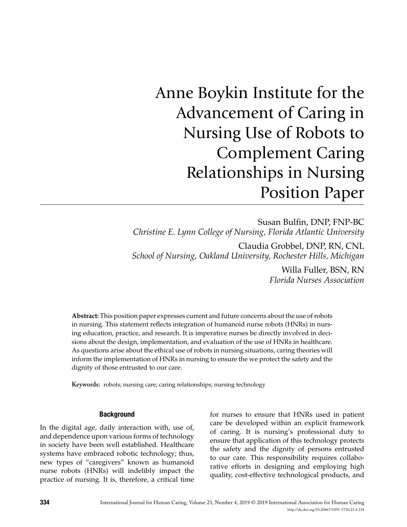# Anne Boykin Institute for the Advancement of Caring in Nursing Use of Robots to Complement Caring Relationships in Nursing Position Paper

Susan Bulfin, DNP, FNP-BC *Christine E. Lynn College of Nursing, Florida Atlantic University*

Claudia Grobbel, DNP, RN, CNL *School of Nursing, Oakland University, Rochester Hills, Michigan*

> Willa Fuller, BSN, RN *Florida Nurses Association*

**Abstract:** This position paper expresses current and future concerns about the use of robots in nursing. This statement reflects integration of humanoid nurse robots (HNRs) in nursing education, practice, and research. It is imperative nurses be directly involved in decisions about the design, implementation, and evaluation of the use of HNRs in healthcare. As questions arise about the ethical use of robots in nursing situations, caring theories will inform the implementation of HNRs in nursing to ensure the we protect the safety and the dignity of those entrusted to our care.

**Keywords:** robots; nursing care; caring relationships; nursing technology

#### **Background**

In the digital age, daily interaction with, use of, and dependence upon various forms of technology in society have been well established. Healthcare systems have embraced robotic technology; thus, new types of "caregivers" known as humanoid nurse robots (HNRs) will indelibly impact the practice of nursing. It is, therefore, a critical time for nurses to ensure that HNRs used in patient care be developed within an explicit framework of caring. It is nursing's professional duty to ensure that application of this technology protects the safety and the dignity of persons entrusted to our care. This responsibility requires collaborative efforts in designing and employing high quality, cost-effective technological products, and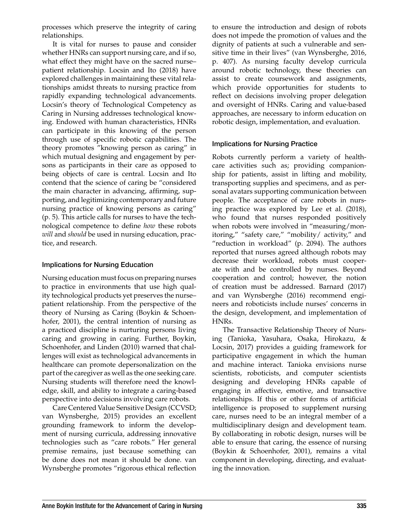processes which preserve the integrity of caring relationships.

It is vital for nurses to pause and consider whether HNRs can support nursing care, and if so, what effect they might have on the sacred nurse– patient relationship. Locsin and Ito (2018) have explored challenges in maintaining these vital relationships amidst threats to nursing practice from rapidly expanding technological advancements. Locsin's theory of Technological Competency as Caring in Nursing addresses technological knowing. Endowed with human characteristics, HNRs can participate in this knowing of the person through use of specific robotic capabilities. The theory promotes "knowing person as caring" in which mutual designing and engagement by persons as participants in their care as opposed to being objects of care is central. Locsin and Ito contend that the science of caring be "considered the main character in advancing, affirming, supporting, and legitimizing contemporary and future nursing practice of knowing persons as caring" (p. 5). This article calls for nurses to have the technological competence to define *how* these robots *will* and *should* be used in nursing education, practice, and research.

## Implications for Nursing Education

Nursing education must focus on preparing nurses to practice in environments that use high quality technological products yet preserves the nurse– patient relationship. From the perspective of the theory of Nursing as Caring (Boykin & Schoenhofer, 2001), the central intention of nursing as a practiced discipline is nurturing persons living caring and growing in caring. Further, Boykin, Schoenhofer, and Linden (2010) warned that challenges will exist as technological advancements in healthcare can promote depersonalization on the part of the caregiver as well as the one seeking care. Nursing students will therefore need the knowledge, skill, and ability to integrate a caring-based perspective into decisions involving care robots.

Care Centered Value Sensitive Design (CCVSD; van Wynsberghe, 2015) provides an excellent grounding framework to inform the development of nursing curricula, addressing innovative technologies such as "care robots." Her general premise remains, just because something can be done does not mean it should be done. van Wynsberghe promotes "rigorous ethical reflection

to ensure the introduction and design of robots does not impede the promotion of values and the dignity of patients at such a vulnerable and sensitive time in their lives" (van Wynsberghe, 2016, p. 407). As nursing faculty develop curricula around robotic technology, these theories can assist to create coursework and assignments, which provide opportunities for students to reflect on decisions involving proper delegation and oversight of HNRs. Caring and value-based approaches, are necessary to inform education on robotic design, implementation, and evaluation.

## Implications for Nursing Practice

Robots currently perform a variety of healthcare activities such as; providing companionship for patients, assist in lifting and mobility, transporting supplies and specimens, and as personal avatars supporting communication between people. The acceptance of care robots in nursing practice was explored by Lee et al. (2018), who found that nurses responded positively when robots were involved in "measuring/monitoring," "safety care," "mobility/ activity," and "reduction in workload" (p. 2094). The authors reported that nurses agreed although robots may decrease their workload, robots must cooperate with and be controlled by nurses. Beyond cooperation and control; however, the notion of creation must be addressed. Barnard (2017) and van Wynsberghe (2016) recommend engineers and roboticists include nurses' concerns in the design, development, and implementation of HNRs.

The Transactive Relationship Theory of Nursing (Tanioka, Yasuhara, Osaka, Hirokazu, & Locsin, 2017) provides a guiding framework for participative engagement in which the human and machine interact. Tanioka envisions nurse scientists, roboticists, and computer scientists designing and developing HNRs capable of engaging in affective, emotive, and transactive relationships. If this or other forms of artificial intelligence is proposed to supplement nursing care, nurses need to be an integral member of a multidisciplinary design and development team. By collaborating in robotic design, nurses will be able to ensure that caring, the essence of nursing (Boykin & Schoenhofer, 2001), remains a vital component in developing, directing, and evaluating the innovation.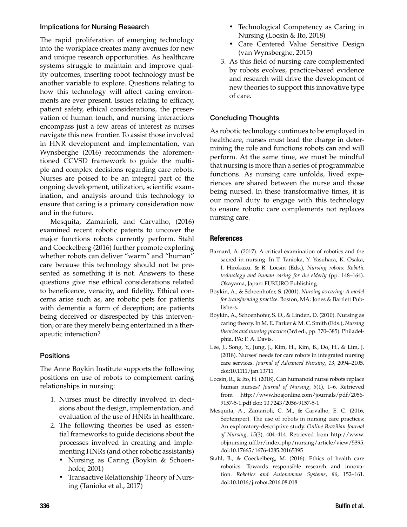#### Implications for Nursing Research

The rapid proliferation of emerging technology into the workplace creates many avenues for new and unique research opportunities. As healthcare systems struggle to maintain and improve quality outcomes, inserting robot technology must be another variable to explore. Questions relating to how this technology will affect caring environments are ever present. Issues relating to efficacy, patient safety, ethical considerations, the preservation of human touch, and nursing interactions encompass just a few areas of interest as nurses navigate this new frontier. To assist those involved in HNR development and implementation, van Wynsberghe (2016) recommends the aforementioned CCVSD framework to guide the multiple and complex decisions regarding care robots. Nurses are poised to be an integral part of the ongoing development, utilization, scientific examination, and analysis around this technology to ensure that caring is a primary consideration now and in the future.

Mesquita, Zamarioli, and Carvalho, (2016) examined recent robotic patents to uncover the major functions robots currently perform. Stahl and Coeckelberg (2016) further promote exploring whether robots can deliver "warm" and "human" care because this technology should not be presented as something it is not. Answers to these questions give rise ethical considerations related to beneficence, veracity, and fidelity. Ethical concerns arise such as, are robotic pets for patients with dementia a form of deception; are patients being deceived or disrespected by this intervention; or are they merely being entertained in a therapeutic interaction?

## **Positions**

The Anne Boykin Institute supports the following positions on use of robots to complement caring relationships in nursing:

- 1. Nurses must be directly involved in decisions about the design, implementation, and evaluation of the use of HNRs in healthcare.
- 2. The following theories be used as essential frameworks to guide decisions about the processes involved in creating and implementing HNRs (and other robotic assistants)
	- Nursing as Caring (Boykin & Schoenhofer, 2001)
	- Transactive Relationship Theory of Nursing (Tanioka et al., 2017)
- Technological Competency as Caring in Nursing (Locsin & Ito, 2018)
- Care Centered Value Sensitive Design (van Wynsberghe, 2015)
- 3. As this field of nursing care complemented by robots evolves, practice-based evidence and research will drive the development of new theories to support this innovative type of care.

## Concluding Thoughts

As robotic technology continues to be employed in healthcare, nurses must lead the charge in determining the role and functions robots can and will perform. At the same time, we must be mindful that nursing is more than a series of programmable functions. As nursing care unfolds, lived experiences are shared between the nurse and those being nursed. In these transformative times, it is our moral duty to engage with this technology to ensure robotic care complements not replaces nursing care.

### **References**

- Barnard, A. (2017). A critical examination of robotics and the sacred in nursing. In T. Tanioka, Y. Yasuhara, K. Osaka, I. Hirokazu, & R. Locsin (Eds.), *Nursing robots: Robotic technology and human caring for the elderly* (pp. 148–164). Okayama, Japan: FUKURO Publishing.
- Boykin, A., & Schoenhofer, S. (2001). *Nursing as caring: A model for transforming practice*. Boston, MA: Jones & Bartlett Publishers.
- Boykin, A., Schoenhofer, S. O., & Linden, D. (2010). Nursing as caring theory. In M. E. Parker & M. C. Smith (Eds.), *Nursing theories and nursing practice* (3rd ed., pp. 370–385). Philadelphia, PA: F. A. Davis.
- Lee, J., Song, Y., Jung, J., Kim, H., Kim, B., Do, H., & Lim, J. (2018). Nurses' needs for care robots in integrated nursing care services. *Journal of Advanced Nursing*, *13*, 2094–2105. doi:10.1111/jan.13711
- Locsin, R., & Ito, H. (2018). Can humanoid nurse robots replace human nurses? *Journal of Nursing*, *5*(1), 1–6. Retrieved from http://www.hoajonline.com/journals/pdf/2056- 9157-5-1.pdf doi: 10.7243/2056-9157-5-1
- Mesquita, A., Zamarioli, C. M., & Carvalho, E. C. (2016, Septemper). The use of robots in nursing care practices: An exploratory-descriptive study. *Online Brazilian Journal of Nursing*, *15*(3), 404–414. Retrieved from http://www. objnursing.uff.br/index.php/nursing/article/view/5395. doi:10.17665/1676-4285.20165395
- Stahl, B., & Coeckelberg, M. (2016). Ethics of health care robotics: Towards responsible research and innovation. *Robotics and Autonomous Systems*, *86*, 152–161. doi:10.1016/j.robot.2016.08.018